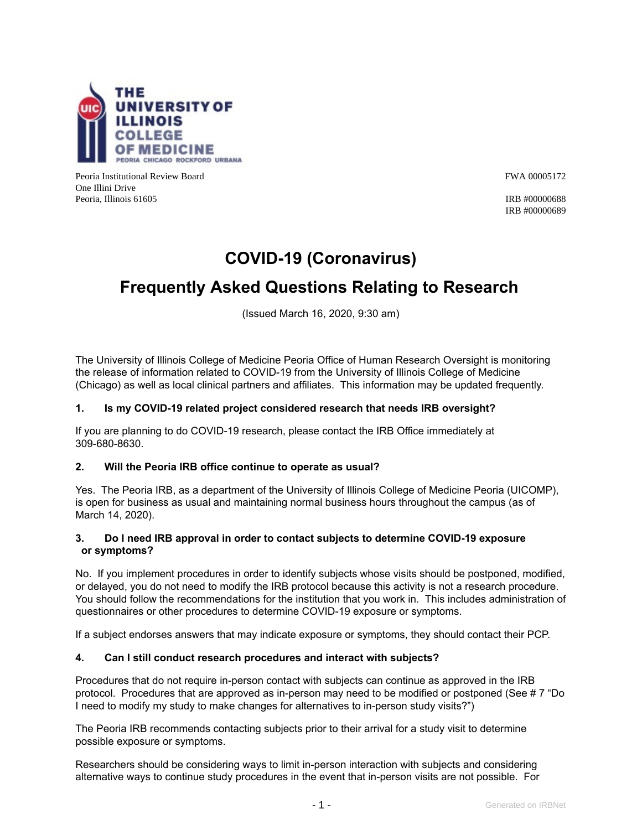

Peoria Institutional Review Board FWA 00005172 One Illini Drive Peoria, Illinois 61605 **IRB** #00000688

IRB #00000689

## **COVID-19 (Coronavirus)**

# **Frequently Asked Questions Relating to Research**

(Issued March 16, 2020, 9:30 am)

The University of Illinois College of Medicine Peoria Office of Human Research Oversight is monitoring the release of information related to COVID-19 from the University of Illinois College of Medicine (Chicago) as well as local clinical partners and affiliates. This information may be updated frequently.

#### **1. Is my COVID-19 related project considered research that needs IRB oversight?**

If you are planning to do COVID-19 research, please contact the IRB Office immediately at 309-680-8630.

#### **2. Will the Peoria IRB office continue to operate as usual?**

Yes. The Peoria IRB, as a department of the University of Illinois College of Medicine Peoria (UICOMP), is open for business as usual and maintaining normal business hours throughout the campus (as of March 14, 2020).

#### **3. Do I need IRB approval in order to contact subjects to determine COVID-19 exposure or symptoms?**

No. If you implement procedures in order to identify subjects whose visits should be postponed, modified, or delayed, you do not need to modify the IRB protocol because this activity is not a research procedure. You should follow the recommendations for the institution that you work in. This includes administration of questionnaires or other procedures to determine COVID-19 exposure or symptoms.

If a subject endorses answers that may indicate exposure or symptoms, they should contact their PCP.

#### **4. Can I still conduct research procedures and interact with subjects?**

Procedures that do not require in-person contact with subjects can continue as approved in the IRB protocol. Procedures that are approved as in-person may need to be modified or postponed (See # 7 "Do I need to modify my study to make changes for alternatives to in-person study visits?")

The Peoria IRB recommends contacting subjects prior to their arrival for a study visit to determine possible exposure or symptoms.

Researchers should be considering ways to limit in-person interaction with subjects and considering alternative ways to continue study procedures in the event that in-person visits are not possible. For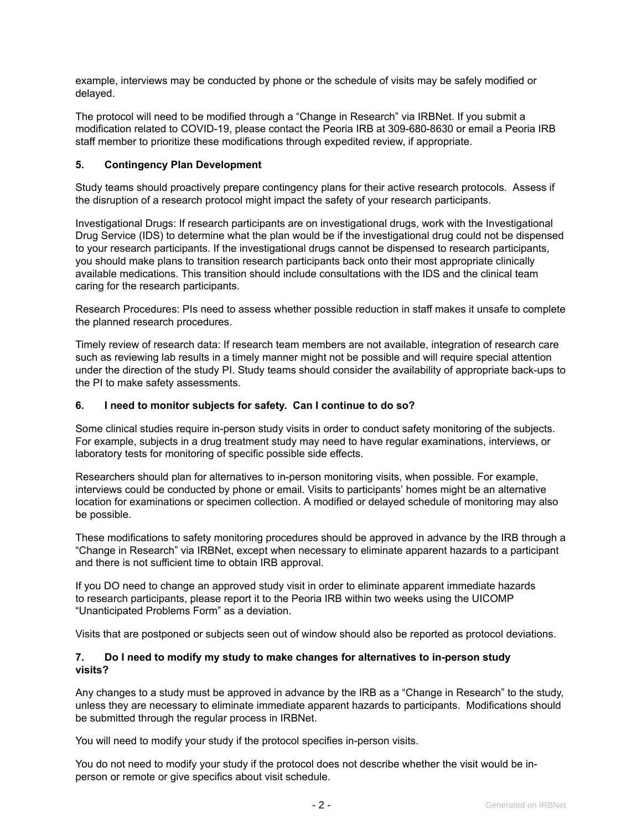example, interviews may be conducted by phone or the schedule of visits may be safely modified or delayed.

The protocol will need to be modified through a "Change in Research" via IRBNet. If you submit a modification related to COVID-19, please contact the Peoria IRB at 309-680-8630 or email a Peoria IRB staff member to prioritize these modifications through expedited review, if appropriate.

#### **5. Contingency Plan Development**

Study teams should proactively prepare contingency plans for their active research protocols. Assess if the disruption of a research protocol might impact the safety of your research participants.

Investigational Drugs: If research participants are on investigational drugs, work with the Investigational Drug Service (IDS) to determine what the plan would be if the investigational drug could not be dispensed to your research participants. If the investigational drugs cannot be dispensed to research participants, you should make plans to transition research participants back onto their most appropriate clinically available medications. This transition should include consultations with the IDS and the clinical team caring for the research participants.

Research Procedures: PIs need to assess whether possible reduction in staff makes it unsafe to complete the planned research procedures.

Timely review of research data: If research team members are not available, integration of research care such as reviewing lab results in a timely manner might not be possible and will require special attention under the direction of the study PI. Study teams should consider the availability of appropriate back-ups to the PI to make safety assessments.

#### **6. I need to monitor subjects for safety. Can I continue to do so?**

Some clinical studies require in-person study visits in order to conduct safety monitoring of the subjects. For example, subjects in a drug treatment study may need to have regular examinations, interviews, or laboratory tests for monitoring of specific possible side effects.

Researchers should plan for alternatives to in-person monitoring visits, when possible. For example, interviews could be conducted by phone or email. Visits to participants' homes might be an alternative location for examinations or specimen collection. A modified or delayed schedule of monitoring may also be possible.

These modifications to safety monitoring procedures should be approved in advance by the IRB through a "Change in Research" via IRBNet, except when necessary to eliminate apparent hazards to a participant and there is not sufficient time to obtain IRB approval.

If you DO need to change an approved study visit in order to eliminate apparent immediate hazards to research participants, please report it to the Peoria IRB within two weeks using the UICOMP "Unanticipated Problems Form" as a deviation.

Visits that are postponed or subjects seen out of window should also be reported as protocol deviations.

#### **7. Do I need to modify my study to make changes for alternatives to in-person study visits?**

Any changes to a study must be approved in advance by the IRB as a "Change in Research" to the study, unless they are necessary to eliminate immediate apparent hazards to participants. Modifications should be submitted through the regular process in IRBNet.

You will need to modify your study if the protocol specifies in-person visits.

You do not need to modify your study if the protocol does not describe whether the visit would be inperson or remote or give specifics about visit schedule.